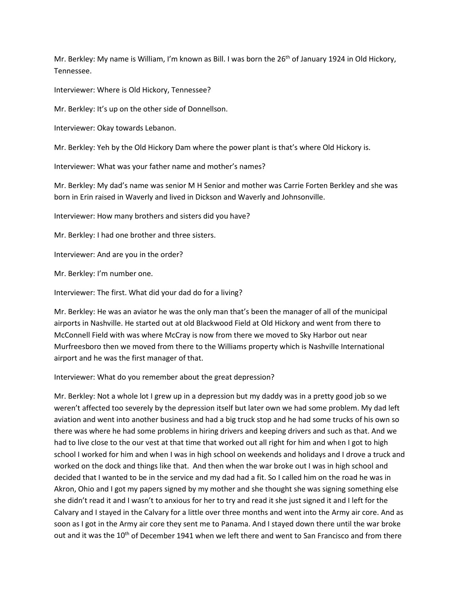Mr. Berkley: My name is William, I'm known as Bill. I was born the  $26<sup>th</sup>$  of January 1924 in Old Hickory, Tennessee.

Interviewer: Where is Old Hickory, Tennessee?

Mr. Berkley: It's up on the other side of Donnellson.

Interviewer: Okay towards Lebanon.

Mr. Berkley: Yeh by the Old Hickory Dam where the power plant is that's where Old Hickory is.

Interviewer: What was your father name and mother's names?

Mr. Berkley: My dad's name was senior M H Senior and mother was Carrie Forten Berkley and she was born in Erin raised in Waverly and lived in Dickson and Waverly and Johnsonville.

Interviewer: How many brothers and sisters did you have?

Mr. Berkley: I had one brother and three sisters.

Interviewer: And are you in the order?

Mr. Berkley: I'm number one.

Interviewer: The first. What did your dad do for a living?

Mr. Berkley: He was an aviator he was the only man that's been the manager of all of the municipal airports in Nashville. He started out at old Blackwood Field at Old Hickory and went from there to McConnell Field with was where McCray is now from there we moved to Sky Harbor out near Murfreesboro then we moved from there to the Williams property which is Nashville International airport and he was the first manager of that.

Interviewer: What do you remember about the great depression?

Mr. Berkley: Not a whole lot I grew up in a depression but my daddy was in a pretty good job so we weren't affected too severely by the depression itself but later own we had some problem. My dad left aviation and went into another business and had a big truck stop and he had some trucks of his own so there was where he had some problems in hiring drivers and keeping drivers and such as that. And we had to live close to the our vest at that time that worked out all right for him and when I got to high school I worked for him and when I was in high school on weekends and holidays and I drove a truck and worked on the dock and things like that. And then when the war broke out I was in high school and decided that I wanted to be in the service and my dad had a fit. So I called him on the road he was in Akron, Ohio and I got my papers signed by my mother and she thought she was signing something else she didn't read it and I wasn't to anxious for her to try and read it she just signed it and I left for the Calvary and I stayed in the Calvary for a little over three months and went into the Army air core. And as soon as I got in the Army air core they sent me to Panama. And I stayed down there until the war broke out and it was the 10<sup>th</sup> of December 1941 when we left there and went to San Francisco and from there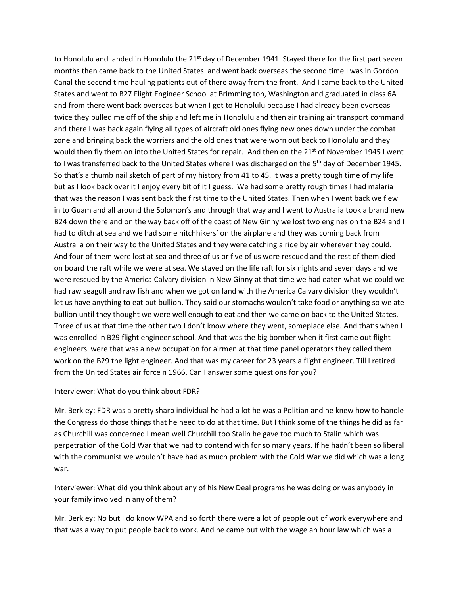to Honolulu and landed in Honolulu the  $21<sup>st</sup>$  day of December 1941. Stayed there for the first part seven months then came back to the United States and went back overseas the second time I was in Gordon Canal the second time hauling patients out of there away from the front. And I came back to the United States and went to B27 Flight Engineer School at Brimming ton, Washington and graduated in class 6A and from there went back overseas but when I got to Honolulu because I had already been overseas twice they pulled me off of the ship and left me in Honolulu and then air training air transport command and there I was back again flying all types of aircraft old ones flying new ones down under the combat zone and bringing back the worriers and the old ones that were worn out back to Honolulu and they would then fly them on into the United States for repair. And then on the 21<sup>st</sup> of November 1945 I went to I was transferred back to the United States where I was discharged on the 5<sup>th</sup> day of December 1945. So that's a thumb nail sketch of part of my history from 41 to 45. It was a pretty tough time of my life but as I look back over it I enjoy every bit of it I guess. We had some pretty rough times I had malaria that was the reason I was sent back the first time to the United States. Then when I went back we flew in to Guam and all around the Solomon's and through that way and I went to Australia took a brand new B24 down there and on the way back off of the coast of New Ginny we lost two engines on the B24 and I had to ditch at sea and we had some hitchhikers' on the airplane and they was coming back from Australia on their way to the United States and they were catching a ride by air wherever they could. And four of them were lost at sea and three of us or five of us were rescued and the rest of them died on board the raft while we were at sea. We stayed on the life raft for six nights and seven days and we were rescued by the America Calvary division in New Ginny at that time we had eaten what we could we had raw seagull and raw fish and when we got on land with the America Calvary division they wouldn't let us have anything to eat but bullion. They said our stomachs wouldn't take food or anything so we ate bullion until they thought we were well enough to eat and then we came on back to the United States. Three of us at that time the other two I don't know where they went, someplace else. And that's when I was enrolled in B29 flight engineer school. And that was the big bomber when it first came out flight engineers were that was a new occupation for airmen at that time panel operators they called them work on the B29 the light engineer. And that was my career for 23 years a flight engineer. Till I retired from the United States air force n 1966. Can I answer some questions for you?

#### Interviewer: What do you think about FDR?

Mr. Berkley: FDR was a pretty sharp individual he had a lot he was a Politian and he knew how to handle the Congress do those things that he need to do at that time. But I think some of the things he did as far as Churchill was concerned I mean well Churchill too Stalin he gave too much to Stalin which was perpetration of the Cold War that we had to contend with for so many years. If he hadn't been so liberal with the communist we wouldn't have had as much problem with the Cold War we did which was a long war.

Interviewer: What did you think about any of his New Deal programs he was doing or was anybody in your family involved in any of them?

Mr. Berkley: No but I do know WPA and so forth there were a lot of people out of work everywhere and that was a way to put people back to work. And he came out with the wage an hour law which was a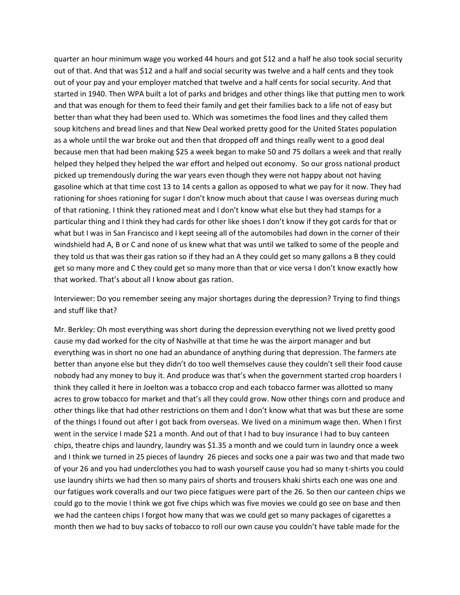quarter an hour minimum wage you worked 44 hours and got \$12 and a half he also took social security out of that. And that was \$12 and a half and social security was twelve and a half cents and they took out of your pay and your employer matched that twelve and a half cents for social security. And that started in 1940. Then WPA built a lot of parks and bridges and other things like that putting men to work and that was enough for them to feed their family and get their families back to a life not of easy but better than what they had been used to. Which was sometimes the food lines and they called them soup kitchens and bread lines and that New Deal worked pretty good for the United States population as a whole until the war broke out and then that dropped off and things really went to a good deal because men that had been making \$25 a week began to make 50 and 75 dollars a week and that really helped they helped they helped the war effort and helped out economy. So our gross national product picked up tremendously during the war years even though they were not happy about not having gasoline which at that time cost 13 to 14 cents a gallon as opposed to what we pay for it now. They had rationing for shoes rationing for sugar I don't know much about that cause I was overseas during much of that rationing. I think they rationed meat and I don't know what else but they had stamps for a particular thing and I think they had cards for other like shoes I don't know if they got cards for that or what but I was in San Francisco and I kept seeing all of the automobiles had down in the corner of their windshield had A, B or C and none of us knew what that was until we talked to some of the people and they told us that was their gas ration so if they had an A they could get so many gallons a B they could get so many more and C they could get so many more than that or vice versa I don't know exactly how that worked. That's about all I know about gas ration.

Interviewer: Do you remember seeing any major shortages during the depression? Trying to find things and stuff like that?

Mr. Berkley: Oh most everything was short during the depression everything not we lived pretty good cause my dad worked for the city of Nashville at that time he was the airport manager and but everything was in short no one had an abundance of anything during that depression. The farmers ate better than anyone else but they didn't do too well themselves cause they couldn't sell their food cause nobody had any money to buy it. And produce was that's when the government started crop hoarders I think they called it here in Joelton was a tobacco crop and each tobacco farmer was allotted so many acres to grow tobacco for market and that's all they could grow. Now other things corn and produce and other things like that had other restrictions on them and I don't know what that was but these are some of the things I found out after I got back from overseas. We lived on a minimum wage then. When I first went in the service I made \$21 a month. And out of that I had to buy insurance I had to buy canteen chips, theatre chips and laundry, laundry was \$1.35 a month and we could turn in laundry once a week and I think we turned in 25 pieces of laundry 26 pieces and socks one a pair was two and that made two of your 26 and you had underclothes you had to wash yourself cause you had so many t-shirts you could use laundry shirts we had then so many pairs of shorts and trousers khaki shirts each one was one and our fatigues work coveralls and our two piece fatigues were part of the 26. So then our canteen chips we could go to the movie I think we got five chips which was five movies we could go see on base and then we had the canteen chips I forgot how many that was we could get so many packages of cigarettes a month then we had to buy sacks of tobacco to roll our own cause you couldn't have table made for the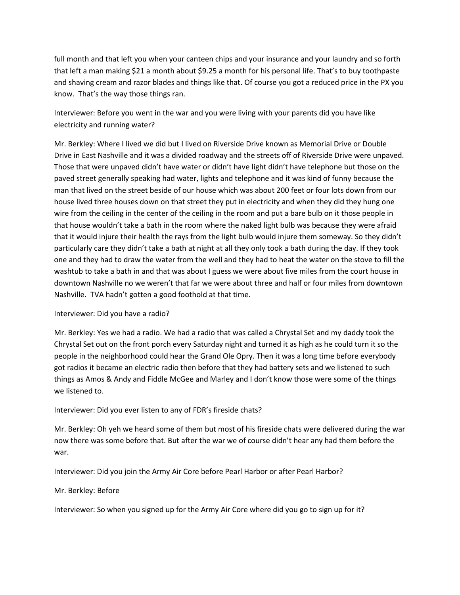full month and that left you when your canteen chips and your insurance and your laundry and so forth that left a man making \$21 a month about \$9.25 a month for his personal life. That's to buy toothpaste and shaving cream and razor blades and things like that. Of course you got a reduced price in the PX you know. That's the way those things ran.

Interviewer: Before you went in the war and you were living with your parents did you have like electricity and running water?

Mr. Berkley: Where I lived we did but I lived on Riverside Drive known as Memorial Drive or Double Drive in East Nashville and it was a divided roadway and the streets off of Riverside Drive were unpaved. Those that were unpaved didn't have water or didn't have light didn't have telephone but those on the paved street generally speaking had water, lights and telephone and it was kind of funny because the man that lived on the street beside of our house which was about 200 feet or four lots down from our house lived three houses down on that street they put in electricity and when they did they hung one wire from the ceiling in the center of the ceiling in the room and put a bare bulb on it those people in that house wouldn't take a bath in the room where the naked light bulb was because they were afraid that it would injure their health the rays from the light bulb would injure them someway. So they didn't particularly care they didn't take a bath at night at all they only took a bath during the day. If they took one and they had to draw the water from the well and they had to heat the water on the stove to fill the washtub to take a bath in and that was about I guess we were about five miles from the court house in downtown Nashville no we weren't that far we were about three and half or four miles from downtown Nashville. TVA hadn't gotten a good foothold at that time.

## Interviewer: Did you have a radio?

Mr. Berkley: Yes we had a radio. We had a radio that was called a Chrystal Set and my daddy took the Chrystal Set out on the front porch every Saturday night and turned it as high as he could turn it so the people in the neighborhood could hear the Grand Ole Opry. Then it was a long time before everybody got radios it became an electric radio then before that they had battery sets and we listened to such things as Amos & Andy and Fiddle McGee and Marley and I don't know those were some of the things we listened to.

## Interviewer: Did you ever listen to any of FDR's fireside chats?

Mr. Berkley: Oh yeh we heard some of them but most of his fireside chats were delivered during the war now there was some before that. But after the war we of course didn't hear any had them before the war.

Interviewer: Did you join the Army Air Core before Pearl Harbor or after Pearl Harbor?

## Mr. Berkley: Before

Interviewer: So when you signed up for the Army Air Core where did you go to sign up for it?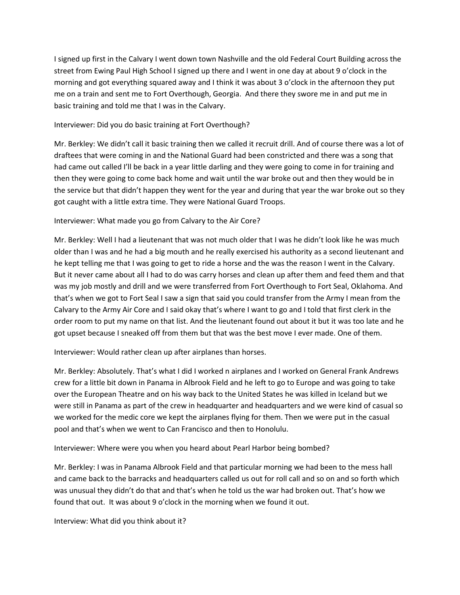I signed up first in the Calvary I went down town Nashville and the old Federal Court Building across the street from Ewing Paul High School I signed up there and I went in one day at about 9 o'clock in the morning and got everything squared away and I think it was about 3 o'clock in the afternoon they put me on a train and sent me to Fort Overthough, Georgia. And there they swore me in and put me in basic training and told me that I was in the Calvary.

# Interviewer: Did you do basic training at Fort Overthough?

Mr. Berkley: We didn't call it basic training then we called it recruit drill. And of course there was a lot of draftees that were coming in and the National Guard had been constricted and there was a song that had came out called I'll be back in a year little darling and they were going to come in for training and then they were going to come back home and wait until the war broke out and then they would be in the service but that didn't happen they went for the year and during that year the war broke out so they got caught with a little extra time. They were National Guard Troops.

# Interviewer: What made you go from Calvary to the Air Core?

Mr. Berkley: Well I had a lieutenant that was not much older that I was he didn't look like he was much older than I was and he had a big mouth and he really exercised his authority as a second lieutenant and he kept telling me that I was going to get to ride a horse and the was the reason I went in the Calvary. But it never came about all I had to do was carry horses and clean up after them and feed them and that was my job mostly and drill and we were transferred from Fort Overthough to Fort Seal, Oklahoma. And that's when we got to Fort Seal I saw a sign that said you could transfer from the Army I mean from the Calvary to the Army Air Core and I said okay that's where I want to go and I told that first clerk in the order room to put my name on that list. And the lieutenant found out about it but it was too late and he got upset because I sneaked off from them but that was the best move I ever made. One of them.

Interviewer: Would rather clean up after airplanes than horses.

Mr. Berkley: Absolutely. That's what I did I worked n airplanes and I worked on General Frank Andrews crew for a little bit down in Panama in Albrook Field and he left to go to Europe and was going to take over the European Theatre and on his way back to the United States he was killed in Iceland but we were still in Panama as part of the crew in headquarter and headquarters and we were kind of casual so we worked for the medic core we kept the airplanes flying for them. Then we were put in the casual pool and that's when we went to Can Francisco and then to Honolulu.

Interviewer: Where were you when you heard about Pearl Harbor being bombed?

Mr. Berkley: I was in Panama Albrook Field and that particular morning we had been to the mess hall and came back to the barracks and headquarters called us out for roll call and so on and so forth which was unusual they didn't do that and that's when he told us the war had broken out. That's how we found that out. It was about 9 o'clock in the morning when we found it out.

Interview: What did you think about it?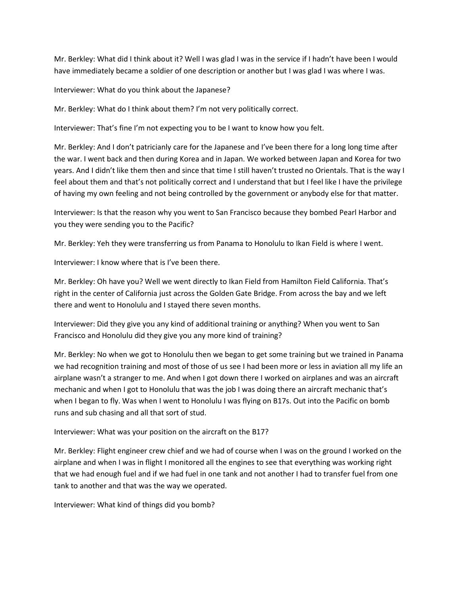Mr. Berkley: What did I think about it? Well I was glad I was in the service if I hadn't have been I would have immediately became a soldier of one description or another but I was glad I was where I was.

Interviewer: What do you think about the Japanese?

Mr. Berkley: What do I think about them? I'm not very politically correct.

Interviewer: That's fine I'm not expecting you to be I want to know how you felt.

Mr. Berkley: And I don't patricianly care for the Japanese and I've been there for a long long time after the war. I went back and then during Korea and in Japan. We worked between Japan and Korea for two years. And I didn't like them then and since that time I still haven't trusted no Orientals. That is the way I feel about them and that's not politically correct and I understand that but I feel like I have the privilege of having my own feeling and not being controlled by the government or anybody else for that matter.

Interviewer: Is that the reason why you went to San Francisco because they bombed Pearl Harbor and you they were sending you to the Pacific?

Mr. Berkley: Yeh they were transferring us from Panama to Honolulu to Ikan Field is where I went.

Interviewer: I know where that is I've been there.

Mr. Berkley: Oh have you? Well we went directly to Ikan Field from Hamilton Field California. That's right in the center of California just across the Golden Gate Bridge. From across the bay and we left there and went to Honolulu and I stayed there seven months.

Interviewer: Did they give you any kind of additional training or anything? When you went to San Francisco and Honolulu did they give you any more kind of training?

Mr. Berkley: No when we got to Honolulu then we began to get some training but we trained in Panama we had recognition training and most of those of us see I had been more or less in aviation all my life an airplane wasn't a stranger to me. And when I got down there I worked on airplanes and was an aircraft mechanic and when I got to Honolulu that was the job I was doing there an aircraft mechanic that's when I began to fly. Was when I went to Honolulu I was flying on B17s. Out into the Pacific on bomb runs and sub chasing and all that sort of stud.

## Interviewer: What was your position on the aircraft on the B17?

Mr. Berkley: Flight engineer crew chief and we had of course when I was on the ground I worked on the airplane and when I was in flight I monitored all the engines to see that everything was working right that we had enough fuel and if we had fuel in one tank and not another I had to transfer fuel from one tank to another and that was the way we operated.

Interviewer: What kind of things did you bomb?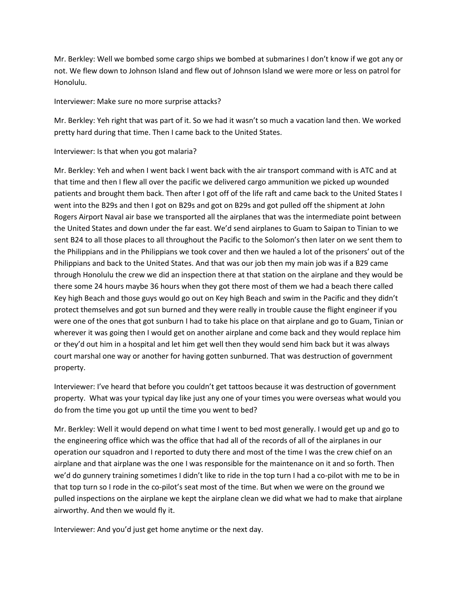Mr. Berkley: Well we bombed some cargo ships we bombed at submarines I don't know if we got any or not. We flew down to Johnson Island and flew out of Johnson Island we were more or less on patrol for Honolulu.

### Interviewer: Make sure no more surprise attacks?

Mr. Berkley: Yeh right that was part of it. So we had it wasn't so much a vacation land then. We worked pretty hard during that time. Then I came back to the United States.

## Interviewer: Is that when you got malaria?

Mr. Berkley: Yeh and when I went back I went back with the air transport command with is ATC and at that time and then I flew all over the pacific we delivered cargo ammunition we picked up wounded patients and brought them back. Then after I got off of the life raft and came back to the United States I went into the B29s and then I got on B29s and got on B29s and got pulled off the shipment at John Rogers Airport Naval air base we transported all the airplanes that was the intermediate point between the United States and down under the far east. We'd send airplanes to Guam to Saipan to Tinian to we sent B24 to all those places to all throughout the Pacific to the Solomon's then later on we sent them to the Philippians and in the Philippians we took cover and then we hauled a lot of the prisoners' out of the Philippians and back to the United States. And that was our job then my main job was if a B29 came through Honolulu the crew we did an inspection there at that station on the airplane and they would be there some 24 hours maybe 36 hours when they got there most of them we had a beach there called Key high Beach and those guys would go out on Key high Beach and swim in the Pacific and they didn't protect themselves and got sun burned and they were really in trouble cause the flight engineer if you were one of the ones that got sunburn I had to take his place on that airplane and go to Guam, Tinian or wherever it was going then I would get on another airplane and come back and they would replace him or they'd out him in a hospital and let him get well then they would send him back but it was always court marshal one way or another for having gotten sunburned. That was destruction of government property.

Interviewer: I've heard that before you couldn't get tattoos because it was destruction of government property. What was your typical day like just any one of your times you were overseas what would you do from the time you got up until the time you went to bed?

Mr. Berkley: Well it would depend on what time I went to bed most generally. I would get up and go to the engineering office which was the office that had all of the records of all of the airplanes in our operation our squadron and I reported to duty there and most of the time I was the crew chief on an airplane and that airplane was the one I was responsible for the maintenance on it and so forth. Then we'd do gunnery training sometimes I didn't like to ride in the top turn I had a co-pilot with me to be in that top turn so I rode in the co-pilot's seat most of the time. But when we were on the ground we pulled inspections on the airplane we kept the airplane clean we did what we had to make that airplane airworthy. And then we would fly it.

Interviewer: And you'd just get home anytime or the next day.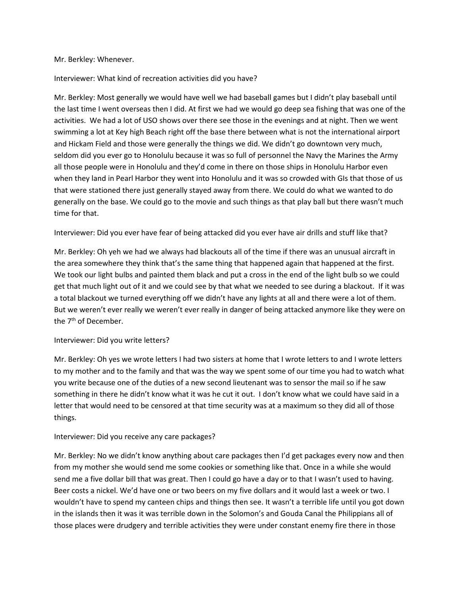#### Mr. Berkley: Whenever.

### Interviewer: What kind of recreation activities did you have?

Mr. Berkley: Most generally we would have well we had baseball games but I didn't play baseball until the last time I went overseas then I did. At first we had we would go deep sea fishing that was one of the activities. We had a lot of USO shows over there see those in the evenings and at night. Then we went swimming a lot at Key high Beach right off the base there between what is not the international airport and Hickam Field and those were generally the things we did. We didn't go downtown very much, seldom did you ever go to Honolulu because it was so full of personnel the Navy the Marines the Army all those people were in Honolulu and they'd come in there on those ships in Honolulu Harbor even when they land in Pearl Harbor they went into Honolulu and it was so crowded with GIs that those of us that were stationed there just generally stayed away from there. We could do what we wanted to do generally on the base. We could go to the movie and such things as that play ball but there wasn't much time for that.

Interviewer: Did you ever have fear of being attacked did you ever have air drills and stuff like that?

Mr. Berkley: Oh yeh we had we always had blackouts all of the time if there was an unusual aircraft in the area somewhere they think that's the same thing that happened again that happened at the first. We took our light bulbs and painted them black and put a cross in the end of the light bulb so we could get that much light out of it and we could see by that what we needed to see during a blackout. If it was a total blackout we turned everything off we didn't have any lights at all and there were a lot of them. But we weren't ever really we weren't ever really in danger of being attacked anymore like they were on the 7<sup>th</sup> of December.

#### Interviewer: Did you write letters?

Mr. Berkley: Oh yes we wrote letters I had two sisters at home that I wrote letters to and I wrote letters to my mother and to the family and that was the way we spent some of our time you had to watch what you write because one of the duties of a new second lieutenant was to sensor the mail so if he saw something in there he didn't know what it was he cut it out. I don't know what we could have said in a letter that would need to be censored at that time security was at a maximum so they did all of those things.

#### Interviewer: Did you receive any care packages?

Mr. Berkley: No we didn't know anything about care packages then I'd get packages every now and then from my mother she would send me some cookies or something like that. Once in a while she would send me a five dollar bill that was great. Then I could go have a day or to that I wasn't used to having. Beer costs a nickel. We'd have one or two beers on my five dollars and it would last a week or two. I wouldn't have to spend my canteen chips and things then see. It wasn't a terrible life until you got down in the islands then it was it was terrible down in the Solomon's and Gouda Canal the Philippians all of those places were drudgery and terrible activities they were under constant enemy fire there in those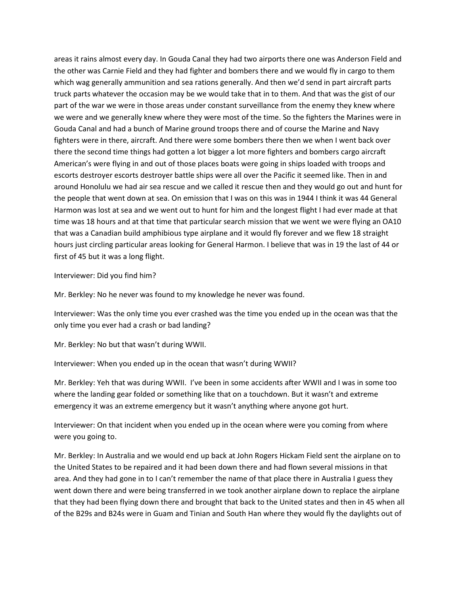areas it rains almost every day. In Gouda Canal they had two airports there one was Anderson Field and the other was Carnie Field and they had fighter and bombers there and we would fly in cargo to them which wag generally ammunition and sea rations generally. And then we'd send in part aircraft parts truck parts whatever the occasion may be we would take that in to them. And that was the gist of our part of the war we were in those areas under constant surveillance from the enemy they knew where we were and we generally knew where they were most of the time. So the fighters the Marines were in Gouda Canal and had a bunch of Marine ground troops there and of course the Marine and Navy fighters were in there, aircraft. And there were some bombers there then we when I went back over there the second time things had gotten a lot bigger a lot more fighters and bombers cargo aircraft American's were flying in and out of those places boats were going in ships loaded with troops and escorts destroyer escorts destroyer battle ships were all over the Pacific it seemed like. Then in and around Honolulu we had air sea rescue and we called it rescue then and they would go out and hunt for the people that went down at sea. On emission that I was on this was in 1944 I think it was 44 General Harmon was lost at sea and we went out to hunt for him and the longest flight I had ever made at that time was 18 hours and at that time that particular search mission that we went we were flying an OA10 that was a Canadian build amphibious type airplane and it would fly forever and we flew 18 straight hours just circling particular areas looking for General Harmon. I believe that was in 19 the last of 44 or first of 45 but it was a long flight.

Interviewer: Did you find him?

Mr. Berkley: No he never was found to my knowledge he never was found.

Interviewer: Was the only time you ever crashed was the time you ended up in the ocean was that the only time you ever had a crash or bad landing?

Mr. Berkley: No but that wasn't during WWII.

Interviewer: When you ended up in the ocean that wasn't during WWII?

Mr. Berkley: Yeh that was during WWII. I've been in some accidents after WWII and I was in some too where the landing gear folded or something like that on a touchdown. But it wasn't and extreme emergency it was an extreme emergency but it wasn't anything where anyone got hurt.

Interviewer: On that incident when you ended up in the ocean where were you coming from where were you going to.

Mr. Berkley: In Australia and we would end up back at John Rogers Hickam Field sent the airplane on to the United States to be repaired and it had been down there and had flown several missions in that area. And they had gone in to I can't remember the name of that place there in Australia I guess they went down there and were being transferred in we took another airplane down to replace the airplane that they had been flying down there and brought that back to the United states and then in 45 when all of the B29s and B24s were in Guam and Tinian and South Han where they would fly the daylights out of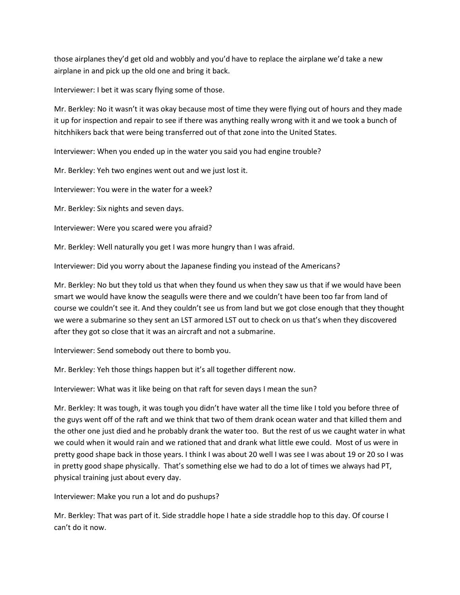those airplanes they'd get old and wobbly and you'd have to replace the airplane we'd take a new airplane in and pick up the old one and bring it back.

Interviewer: I bet it was scary flying some of those.

Mr. Berkley: No it wasn't it was okay because most of time they were flying out of hours and they made it up for inspection and repair to see if there was anything really wrong with it and we took a bunch of hitchhikers back that were being transferred out of that zone into the United States.

Interviewer: When you ended up in the water you said you had engine trouble?

Mr. Berkley: Yeh two engines went out and we just lost it.

Interviewer: You were in the water for a week?

Mr. Berkley: Six nights and seven days.

Interviewer: Were you scared were you afraid?

Mr. Berkley: Well naturally you get I was more hungry than I was afraid.

Interviewer: Did you worry about the Japanese finding you instead of the Americans?

Mr. Berkley: No but they told us that when they found us when they saw us that if we would have been smart we would have know the seagulls were there and we couldn't have been too far from land of course we couldn't see it. And they couldn't see us from land but we got close enough that they thought we were a submarine so they sent an LST armored LST out to check on us that's when they discovered after they got so close that it was an aircraft and not a submarine.

Interviewer: Send somebody out there to bomb you.

Mr. Berkley: Yeh those things happen but it's all together different now.

Interviewer: What was it like being on that raft for seven days I mean the sun?

Mr. Berkley: It was tough, it was tough you didn't have water all the time like I told you before three of the guys went off of the raft and we think that two of them drank ocean water and that killed them and the other one just died and he probably drank the water too. But the rest of us we caught water in what we could when it would rain and we rationed that and drank what little ewe could. Most of us were in pretty good shape back in those years. I think I was about 20 well I was see I was about 19 or 20 so I was in pretty good shape physically. That's something else we had to do a lot of times we always had PT, physical training just about every day.

Interviewer: Make you run a lot and do pushups?

Mr. Berkley: That was part of it. Side straddle hope I hate a side straddle hop to this day. Of course I can't do it now.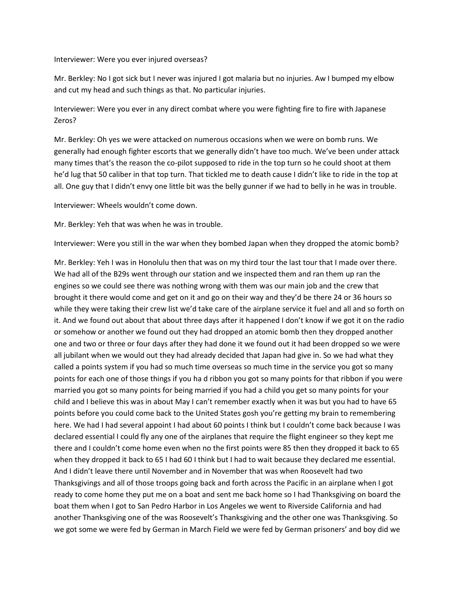Interviewer: Were you ever injured overseas?

Mr. Berkley: No I got sick but I never was injured I got malaria but no injuries. Aw I bumped my elbow and cut my head and such things as that. No particular injuries.

Interviewer: Were you ever in any direct combat where you were fighting fire to fire with Japanese Zeros?

Mr. Berkley: Oh yes we were attacked on numerous occasions when we were on bomb runs. We generally had enough fighter escorts that we generally didn't have too much. We've been under attack many times that's the reason the co-pilot supposed to ride in the top turn so he could shoot at them he'd lug that 50 caliber in that top turn. That tickled me to death cause I didn't like to ride in the top at all. One guy that I didn't envy one little bit was the belly gunner if we had to belly in he was in trouble.

Interviewer: Wheels wouldn't come down.

Mr. Berkley: Yeh that was when he was in trouble.

Interviewer: Were you still in the war when they bombed Japan when they dropped the atomic bomb?

Mr. Berkley: Yeh I was in Honolulu then that was on my third tour the last tour that I made over there. We had all of the B29s went through our station and we inspected them and ran them up ran the engines so we could see there was nothing wrong with them was our main job and the crew that brought it there would come and get on it and go on their way and they'd be there 24 or 36 hours so while they were taking their crew list we'd take care of the airplane service it fuel and all and so forth on it. And we found out about that about three days after it happened I don't know if we got it on the radio or somehow or another we found out they had dropped an atomic bomb then they dropped another one and two or three or four days after they had done it we found out it had been dropped so we were all jubilant when we would out they had already decided that Japan had give in. So we had what they called a points system if you had so much time overseas so much time in the service you got so many points for each one of those things if you ha d ribbon you got so many points for that ribbon if you were married you got so many points for being married if you had a child you get so many points for your child and I believe this was in about May I can't remember exactly when it was but you had to have 65 points before you could come back to the United States gosh you're getting my brain to remembering here. We had I had several appoint I had about 60 points I think but I couldn't come back because I was declared essential I could fly any one of the airplanes that require the flight engineer so they kept me there and I couldn't come home even when no the first points were 85 then they dropped it back to 65 when they dropped it back to 65 I had 60 I think but I had to wait because they declared me essential. And I didn't leave there until November and in November that was when Roosevelt had two Thanksgivings and all of those troops going back and forth across the Pacific in an airplane when I got ready to come home they put me on a boat and sent me back home so I had Thanksgiving on board the boat them when I got to San Pedro Harbor in Los Angeles we went to Riverside California and had another Thanksgiving one of the was Roosevelt's Thanksgiving and the other one was Thanksgiving. So we got some we were fed by German in March Field we were fed by German prisoners' and boy did we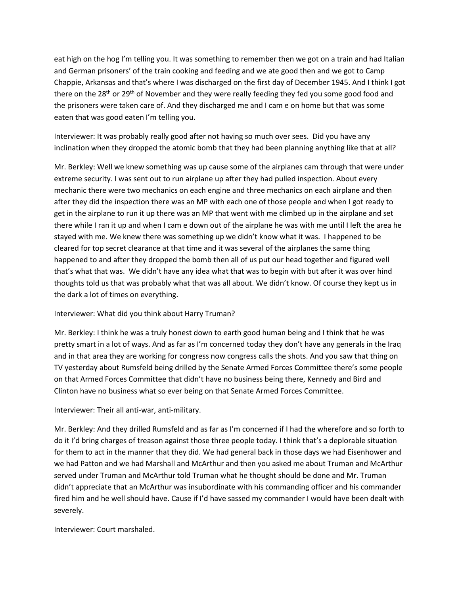eat high on the hog I'm telling you. It was something to remember then we got on a train and had Italian and German prisoners' of the train cooking and feeding and we ate good then and we got to Camp Chappie, Arkansas and that's where I was discharged on the first day of December 1945. And I think I got there on the 28<sup>th</sup> or 29<sup>th</sup> of November and they were really feeding they fed you some good food and the prisoners were taken care of. And they discharged me and I cam e on home but that was some eaten that was good eaten I'm telling you.

Interviewer: It was probably really good after not having so much over sees. Did you have any inclination when they dropped the atomic bomb that they had been planning anything like that at all?

Mr. Berkley: Well we knew something was up cause some of the airplanes cam through that were under extreme security. I was sent out to run airplane up after they had pulled inspection. About every mechanic there were two mechanics on each engine and three mechanics on each airplane and then after they did the inspection there was an MP with each one of those people and when I got ready to get in the airplane to run it up there was an MP that went with me climbed up in the airplane and set there while I ran it up and when I cam e down out of the airplane he was with me until I left the area he stayed with me. We knew there was something up we didn't know what it was. I happened to be cleared for top secret clearance at that time and it was several of the airplanes the same thing happened to and after they dropped the bomb then all of us put our head together and figured well that's what that was. We didn't have any idea what that was to begin with but after it was over hind thoughts told us that was probably what that was all about. We didn't know. Of course they kept us in the dark a lot of times on everything.

## Interviewer: What did you think about Harry Truman?

Mr. Berkley: I think he was a truly honest down to earth good human being and I think that he was pretty smart in a lot of ways. And as far as I'm concerned today they don't have any generals in the Iraq and in that area they are working for congress now congress calls the shots. And you saw that thing on TV yesterday about Rumsfeld being drilled by the Senate Armed Forces Committee there's some people on that Armed Forces Committee that didn't have no business being there, Kennedy and Bird and Clinton have no business what so ever being on that Senate Armed Forces Committee.

Interviewer: Their all anti-war, anti-military.

Mr. Berkley: And they drilled Rumsfeld and as far as I'm concerned if I had the wherefore and so forth to do it I'd bring charges of treason against those three people today. I think that's a deplorable situation for them to act in the manner that they did. We had general back in those days we had Eisenhower and we had Patton and we had Marshall and McArthur and then you asked me about Truman and McArthur served under Truman and McArthur told Truman what he thought should be done and Mr. Truman didn't appreciate that an McArthur was insubordinate with his commanding officer and his commander fired him and he well should have. Cause if I'd have sassed my commander I would have been dealt with severely.

Interviewer: Court marshaled.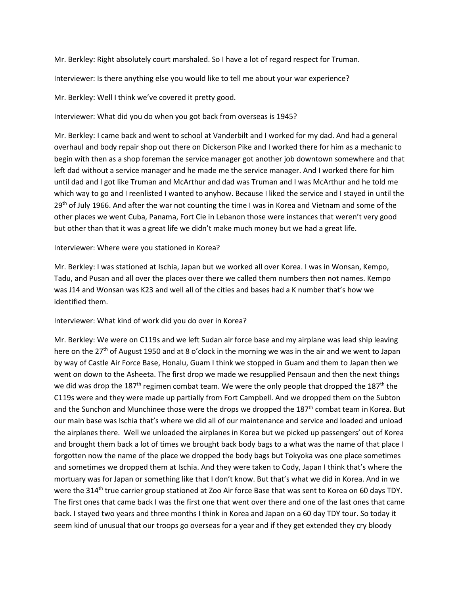Mr. Berkley: Right absolutely court marshaled. So I have a lot of regard respect for Truman.

Interviewer: Is there anything else you would like to tell me about your war experience?

Mr. Berkley: Well I think we've covered it pretty good.

Interviewer: What did you do when you got back from overseas is 1945?

Mr. Berkley: I came back and went to school at Vanderbilt and I worked for my dad. And had a general overhaul and body repair shop out there on Dickerson Pike and I worked there for him as a mechanic to begin with then as a shop foreman the service manager got another job downtown somewhere and that left dad without a service manager and he made me the service manager. And I worked there for him until dad and I got like Truman and McArthur and dad was Truman and I was McArthur and he told me which way to go and I reenlisted I wanted to anyhow. Because I liked the service and I stayed in until the 29<sup>th</sup> of July 1966. And after the war not counting the time I was in Korea and Vietnam and some of the other places we went Cuba, Panama, Fort Cie in Lebanon those were instances that weren't very good but other than that it was a great life we didn't make much money but we had a great life.

# Interviewer: Where were you stationed in Korea?

Mr. Berkley: I was stationed at Ischia, Japan but we worked all over Korea. I was in Wonsan, Kempo, Tadu, and Pusan and all over the places over there we called them numbers then not names. Kempo was J14 and Wonsan was K23 and well all of the cities and bases had a K number that's how we identified them.

Interviewer: What kind of work did you do over in Korea?

Mr. Berkley: We were on C119s and we left Sudan air force base and my airplane was lead ship leaving here on the 27<sup>th</sup> of August 1950 and at 8 o'clock in the morning we was in the air and we went to Japan by way of Castle Air Force Base, Honalu, Guam I think we stopped in Guam and them to Japan then we went on down to the Asheeta. The first drop we made we resupplied Pensaun and then the next things we did was drop the 187<sup>th</sup> regimen combat team. We were the only people that dropped the 187<sup>th</sup> the C119s were and they were made up partially from Fort Campbell. And we dropped them on the Subton and the Sunchon and Munchinee those were the drops we dropped the  $187<sup>th</sup>$  combat team in Korea. But our main base was Ischia that's where we did all of our maintenance and service and loaded and unload the airplanes there. Well we unloaded the airplanes in Korea but we picked up passengers' out of Korea and brought them back a lot of times we brought back body bags to a what was the name of that place I forgotten now the name of the place we dropped the body bags but Tokyoka was one place sometimes and sometimes we dropped them at Ischia. And they were taken to Cody, Japan I think that's where the mortuary was for Japan or something like that I don't know. But that's what we did in Korea. And in we were the 314<sup>th</sup> true carrier group stationed at Zoo Air force Base that was sent to Korea on 60 days TDY. The first ones that came back I was the first one that went over there and one of the last ones that came back. I stayed two years and three months I think in Korea and Japan on a 60 day TDY tour. So today it seem kind of unusual that our troops go overseas for a year and if they get extended they cry bloody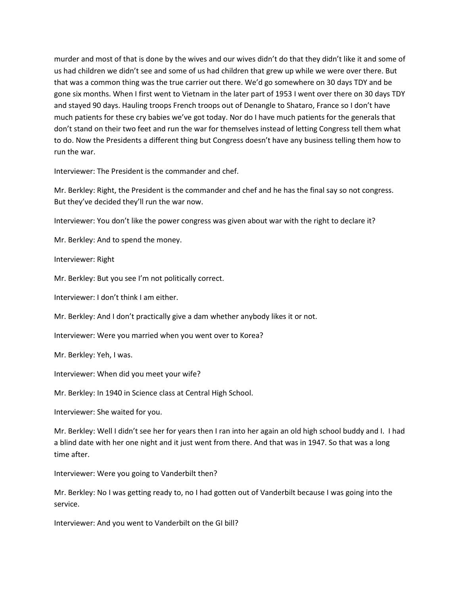murder and most of that is done by the wives and our wives didn't do that they didn't like it and some of us had children we didn't see and some of us had children that grew up while we were over there. But that was a common thing was the true carrier out there. We'd go somewhere on 30 days TDY and be gone six months. When I first went to Vietnam in the later part of 1953 I went over there on 30 days TDY and stayed 90 days. Hauling troops French troops out of Denangle to Shataro, France so I don't have much patients for these cry babies we've got today. Nor do I have much patients for the generals that don't stand on their two feet and run the war for themselves instead of letting Congress tell them what to do. Now the Presidents a different thing but Congress doesn't have any business telling them how to run the war.

Interviewer: The President is the commander and chef.

Mr. Berkley: Right, the President is the commander and chef and he has the final say so not congress. But they've decided they'll run the war now.

Interviewer: You don't like the power congress was given about war with the right to declare it?

Mr. Berkley: And to spend the money.

Interviewer: Right

Mr. Berkley: But you see I'm not politically correct.

Interviewer: I don't think I am either.

Mr. Berkley: And I don't practically give a dam whether anybody likes it or not.

Interviewer: Were you married when you went over to Korea?

Mr. Berkley: Yeh, I was.

Interviewer: When did you meet your wife?

Mr. Berkley: In 1940 in Science class at Central High School.

Interviewer: She waited for you.

Mr. Berkley: Well I didn't see her for years then I ran into her again an old high school buddy and I. I had a blind date with her one night and it just went from there. And that was in 1947. So that was a long time after.

Interviewer: Were you going to Vanderbilt then?

Mr. Berkley: No I was getting ready to, no I had gotten out of Vanderbilt because I was going into the service.

Interviewer: And you went to Vanderbilt on the GI bill?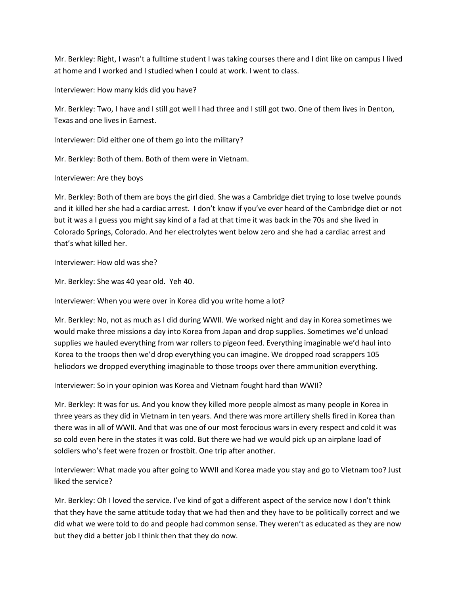Mr. Berkley: Right, I wasn't a fulltime student I was taking courses there and I dint like on campus I lived at home and I worked and I studied when I could at work. I went to class.

Interviewer: How many kids did you have?

Mr. Berkley: Two, I have and I still got well I had three and I still got two. One of them lives in Denton, Texas and one lives in Earnest.

Interviewer: Did either one of them go into the military?

Mr. Berkley: Both of them. Both of them were in Vietnam.

Interviewer: Are they boys

Mr. Berkley: Both of them are boys the girl died. She was a Cambridge diet trying to lose twelve pounds and it killed her she had a cardiac arrest. I don't know if you've ever heard of the Cambridge diet or not but it was a I guess you might say kind of a fad at that time it was back in the 70s and she lived in Colorado Springs, Colorado. And her electrolytes went below zero and she had a cardiac arrest and that's what killed her.

Interviewer: How old was she?

Mr. Berkley: She was 40 year old. Yeh 40.

Interviewer: When you were over in Korea did you write home a lot?

Mr. Berkley: No, not as much as I did during WWII. We worked night and day in Korea sometimes we would make three missions a day into Korea from Japan and drop supplies. Sometimes we'd unload supplies we hauled everything from war rollers to pigeon feed. Everything imaginable we'd haul into Korea to the troops then we'd drop everything you can imagine. We dropped road scrappers 105 heliodors we dropped everything imaginable to those troops over there ammunition everything.

Interviewer: So in your opinion was Korea and Vietnam fought hard than WWII?

Mr. Berkley: It was for us. And you know they killed more people almost as many people in Korea in three years as they did in Vietnam in ten years. And there was more artillery shells fired in Korea than there was in all of WWII. And that was one of our most ferocious wars in every respect and cold it was so cold even here in the states it was cold. But there we had we would pick up an airplane load of soldiers who's feet were frozen or frostbit. One trip after another.

Interviewer: What made you after going to WWII and Korea made you stay and go to Vietnam too? Just liked the service?

Mr. Berkley: Oh I loved the service. I've kind of got a different aspect of the service now I don't think that they have the same attitude today that we had then and they have to be politically correct and we did what we were told to do and people had common sense. They weren't as educated as they are now but they did a better job I think then that they do now.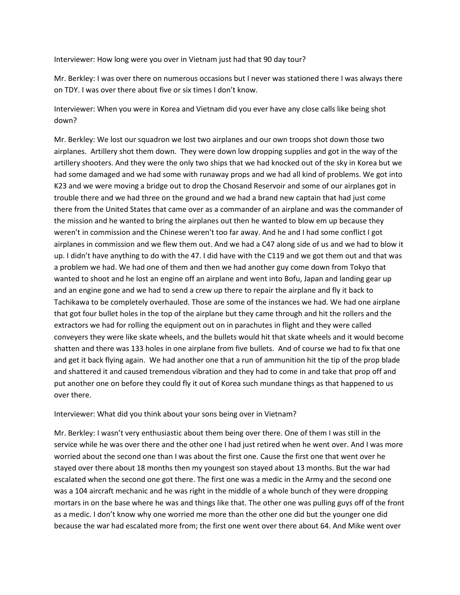Interviewer: How long were you over in Vietnam just had that 90 day tour?

Mr. Berkley: I was over there on numerous occasions but I never was stationed there I was always there on TDY. I was over there about five or six times I don't know.

Interviewer: When you were in Korea and Vietnam did you ever have any close calls like being shot down?

Mr. Berkley: We lost our squadron we lost two airplanes and our own troops shot down those two airplanes. Artillery shot them down. They were down low dropping supplies and got in the way of the artillery shooters. And they were the only two ships that we had knocked out of the sky in Korea but we had some damaged and we had some with runaway props and we had all kind of problems. We got into K23 and we were moving a bridge out to drop the Chosand Reservoir and some of our airplanes got in trouble there and we had three on the ground and we had a brand new captain that had just come there from the United States that came over as a commander of an airplane and was the commander of the mission and he wanted to bring the airplanes out then he wanted to blow em up because they weren't in commission and the Chinese weren't too far away. And he and I had some conflict I got airplanes in commission and we flew them out. And we had a C47 along side of us and we had to blow it up. I didn't have anything to do with the 47. I did have with the C119 and we got them out and that was a problem we had. We had one of them and then we had another guy come down from Tokyo that wanted to shoot and he lost an engine off an airplane and went into Bofu, Japan and landing gear up and an engine gone and we had to send a crew up there to repair the airplane and fly it back to Tachikawa to be completely overhauled. Those are some of the instances we had. We had one airplane that got four bullet holes in the top of the airplane but they came through and hit the rollers and the extractors we had for rolling the equipment out on in parachutes in flight and they were called conveyers they were like skate wheels, and the bullets would hit that skate wheels and it would become shatten and there was 133 holes in one airplane from five bullets. And of course we had to fix that one and get it back flying again. We had another one that a run of ammunition hit the tip of the prop blade and shattered it and caused tremendous vibration and they had to come in and take that prop off and put another one on before they could fly it out of Korea such mundane things as that happened to us over there.

Interviewer: What did you think about your sons being over in Vietnam?

Mr. Berkley: I wasn't very enthusiastic about them being over there. One of them I was still in the service while he was over there and the other one I had just retired when he went over. And I was more worried about the second one than I was about the first one. Cause the first one that went over he stayed over there about 18 months then my youngest son stayed about 13 months. But the war had escalated when the second one got there. The first one was a medic in the Army and the second one was a 104 aircraft mechanic and he was right in the middle of a whole bunch of they were dropping mortars in on the base where he was and things like that. The other one was pulling guys off of the front as a medic. I don't know why one worried me more than the other one did but the younger one did because the war had escalated more from; the first one went over there about 64. And Mike went over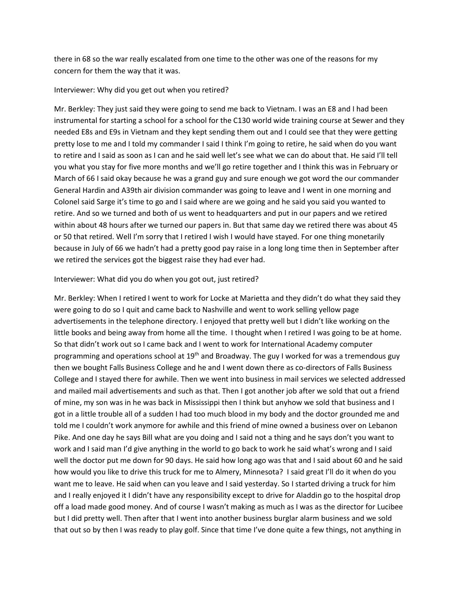there in 68 so the war really escalated from one time to the other was one of the reasons for my concern for them the way that it was.

#### Interviewer: Why did you get out when you retired?

Mr. Berkley: They just said they were going to send me back to Vietnam. I was an E8 and I had been instrumental for starting a school for a school for the C130 world wide training course at Sewer and they needed E8s and E9s in Vietnam and they kept sending them out and I could see that they were getting pretty lose to me and I told my commander I said I think I'm going to retire, he said when do you want to retire and I said as soon as I can and he said well let's see what we can do about that. He said I'll tell you what you stay for five more months and we'll go retire together and I think this was in February or March of 66 I said okay because he was a grand guy and sure enough we got word the our commander General Hardin and A39th air division commander was going to leave and I went in one morning and Colonel said Sarge it's time to go and I said where are we going and he said you said you wanted to retire. And so we turned and both of us went to headquarters and put in our papers and we retired within about 48 hours after we turned our papers in. But that same day we retired there was about 45 or 50 that retired. Well I'm sorry that I retired I wish I would have stayed. For one thing monetarily because in July of 66 we hadn't had a pretty good pay raise in a long long time then in September after we retired the services got the biggest raise they had ever had.

#### Interviewer: What did you do when you got out, just retired?

Mr. Berkley: When I retired I went to work for Locke at Marietta and they didn't do what they said they were going to do so I quit and came back to Nashville and went to work selling yellow page advertisements in the telephone directory. I enjoyed that pretty well but I didn't like working on the little books and being away from home all the time. I thought when I retired I was going to be at home. So that didn't work out so I came back and I went to work for International Academy computer programming and operations school at 19<sup>th</sup> and Broadway. The guy I worked for was a tremendous guy then we bought Falls Business College and he and I went down there as co-directors of Falls Business College and I stayed there for awhile. Then we went into business in mail services we selected addressed and mailed mail advertisements and such as that. Then I got another job after we sold that out a friend of mine, my son was in he was back in Mississippi then I think but anyhow we sold that business and I got in a little trouble all of a sudden I had too much blood in my body and the doctor grounded me and told me I couldn't work anymore for awhile and this friend of mine owned a business over on Lebanon Pike. And one day he says Bill what are you doing and I said not a thing and he says don't you want to work and I said man I'd give anything in the world to go back to work he said what's wrong and I said well the doctor put me down for 90 days. He said how long ago was that and I said about 60 and he said how would you like to drive this truck for me to Almery, Minnesota? I said great I'll do it when do you want me to leave. He said when can you leave and I said yesterday. So I started driving a truck for him and I really enjoyed it I didn't have any responsibility except to drive for Aladdin go to the hospital drop off a load made good money. And of course I wasn't making as much as I was as the director for Lucibee but I did pretty well. Then after that I went into another business burglar alarm business and we sold that out so by then I was ready to play golf. Since that time I've done quite a few things, not anything in